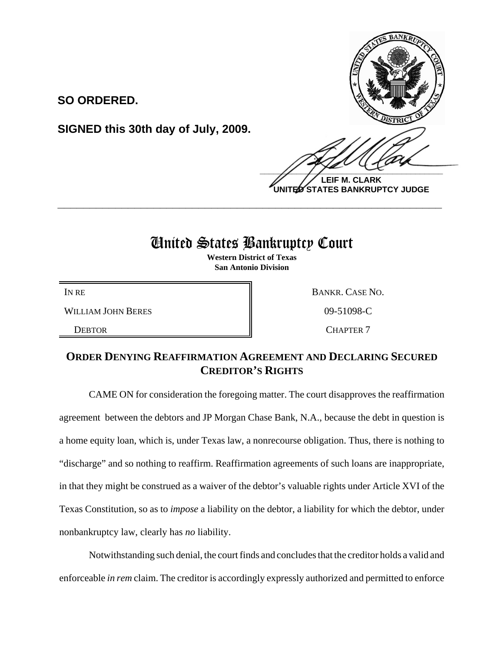

**LEIF M. CLARK UNITED STATES BANKRUPTCY JUDGE**

## United States Bankruptcy Court

**\_\_\_\_\_\_\_\_\_\_\_\_\_\_\_\_\_\_\_\_\_\_\_\_\_\_\_\_\_\_\_\_\_\_\_\_\_\_\_\_\_\_\_\_\_\_\_\_\_\_\_\_\_\_\_\_\_\_\_\_**

**Western District of Texas San Antonio Division**

WILLIAM JOHN BERES 809-51098-C

**SO ORDERED.**

**SIGNED this 30th day of July, 2009.**

IN RE BANKR. CASE NO.

DEBTOR **CHAPTER 7** 

## **ORDER DENYING REAFFIRMATION AGREEMENT AND DECLARING SECURED CREDITOR'S RIGHTS**

CAME ON for consideration the foregoing matter. The court disapproves the reaffirmation agreement between the debtors and JP Morgan Chase Bank, N.A., because the debt in question is a home equity loan, which is, under Texas law, a nonrecourse obligation. Thus, there is nothing to "discharge" and so nothing to reaffirm. Reaffirmation agreements of such loans are inappropriate, in that they might be construed as a waiver of the debtor's valuable rights under Article XVI of the Texas Constitution, so as to *impose* a liability on the debtor, a liability for which the debtor, under nonbankruptcy law, clearly has *no* liability.

Notwithstanding such denial, the court finds and concludes that the creditor holds a valid and enforceable *in rem* claim. The creditor is accordingly expressly authorized and permitted to enforce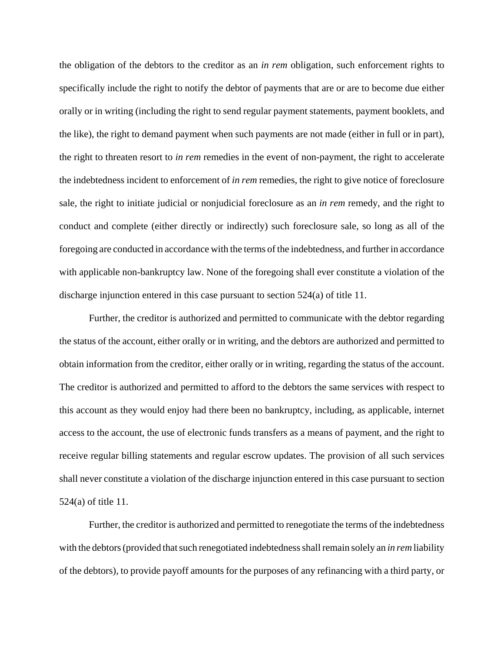the obligation of the debtors to the creditor as an *in rem* obligation, such enforcement rights to specifically include the right to notify the debtor of payments that are or are to become due either orally or in writing (including the right to send regular payment statements, payment booklets, and the like), the right to demand payment when such payments are not made (either in full or in part), the right to threaten resort to *in rem* remedies in the event of non-payment, the right to accelerate the indebtedness incident to enforcement of *in rem* remedies, the right to give notice of foreclosure sale, the right to initiate judicial or nonjudicial foreclosure as an *in rem* remedy, and the right to conduct and complete (either directly or indirectly) such foreclosure sale, so long as all of the foregoing are conducted in accordance with the terms of the indebtedness, and further in accordance with applicable non-bankruptcy law. None of the foregoing shall ever constitute a violation of the discharge injunction entered in this case pursuant to section 524(a) of title 11.

Further, the creditor is authorized and permitted to communicate with the debtor regarding the status of the account, either orally or in writing, and the debtors are authorized and permitted to obtain information from the creditor, either orally or in writing, regarding the status of the account. The creditor is authorized and permitted to afford to the debtors the same services with respect to this account as they would enjoy had there been no bankruptcy, including, as applicable, internet access to the account, the use of electronic funds transfers as a means of payment, and the right to receive regular billing statements and regular escrow updates. The provision of all such services shall never constitute a violation of the discharge injunction entered in this case pursuant to section 524(a) of title 11.

Further, the creditor is authorized and permitted to renegotiate the terms of the indebtedness with the debtors (provided that such renegotiated indebtedness shall remain solely an *in rem* liability of the debtors), to provide payoff amounts for the purposes of any refinancing with a third party, or